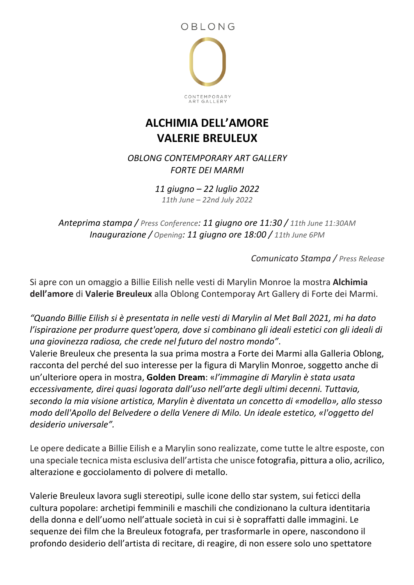

## **ALCHIMIA DELL'AMORE VALERIE BREULEUX**

*OBLONG CONTEMPORARY ART GALLERY FORTE DEI MARMI*

> *11 giugno – 22 luglio 2022 11th June – 22nd July 2022*

*Anteprima stampa / Press Conference: 11 giugno ore 11:30 / 11th June 11:30AM Inaugurazione / Opening: 11 giugno ore 18:00 / 11th June 6PM*

*Comunicato Stampa / Press Release*

Si apre con un omaggio a Billie Eilish nelle vesti di Marylin Monroe la mostra **Alchimia dell'amore** di **Valerie Breuleux** alla Oblong Contemporay Art Gallery di Forte dei Marmi.

*"Quando Billie Eilish si è presentata in nelle vesti di Marylin al Met Ball 2021, mi ha dato l'ispirazione per produrre quest'opera, dove si combinano gli ideali estetici con gli ideali di una giovinezza radiosa, che crede nel futuro del nostro mondo"*.

Valerie Breuleux che presenta la sua prima mostra a Forte dei Marmi alla Galleria Oblong, racconta del perché del suo interesse per la figura di Marylin Monroe, soggetto anche di un'ulteriore opera in mostra, **Golden Dream**: «*l'immagine di Marylin è stata usata eccessivamente, direi quasi logorata dall'uso nell'arte degli ultimi decenni. Tuttavia, secondo la mia visione artistica, Marylin è diventata un concetto di «modello», allo stesso modo dell'Apollo del Belvedere o della Venere di Milo. Un ideale estetico, «l'oggetto del desiderio universale".* 

Le opere dedicate a Billie Eilish e a Marylin sono realizzate, come tutte le altre esposte, con una speciale tecnica mista esclusiva dell'artista che unisce fotografia, pittura a olio, acrilico, alterazione e gocciolamento di polvere di metallo.

Valerie Breuleux lavora sugli stereotipi, sulle icone dello star system, sui feticci della cultura popolare: archetipi femminili e maschili che condizionano la cultura identitaria della donna e dell'uomo nell'attuale società in cui si è sopraffatti dalle immagini. Le sequenze dei film che la Breuleux fotografa, per trasformarle in opere, nascondono il profondo desiderio dell'artista di recitare, di reagire, di non essere solo uno spettatore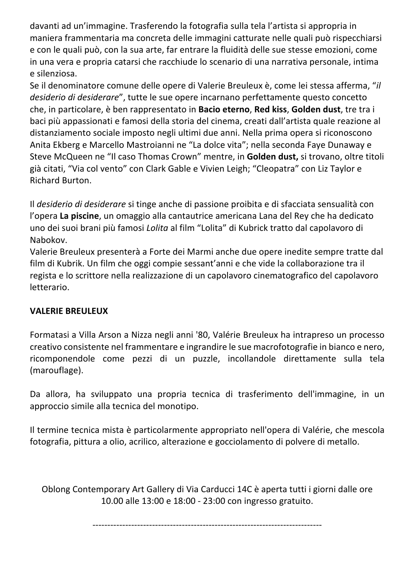davanti ad un'immagine. Trasferendo la fotografia sulla tela l'artista si appropria in maniera frammentaria ma concreta delle immagini catturate nelle quali può rispecchiarsi e con le quali può, con la sua arte, far entrare la fluidità delle sue stesse emozioni, come in una vera e propria catarsi che racchiude lo scenario di una narrativa personale, intima e silenziosa.

Se il denominatore comune delle opere di Valerie Breuleux è, come lei stessa afferma, "*il desiderio di desiderare*", tutte le sue opere incarnano perfettamente questo concetto che, in particolare, è ben rappresentato in **Bacio eterno**, **Red kiss**, **Golden dust**, tre tra i baci più appassionati e famosi della storia del cinema, creati dall'artista quale reazione al distanziamento sociale imposto negli ultimi due anni. Nella prima opera si riconoscono Anita Ekberg e Marcello Mastroianni ne "La dolce vita"; nella seconda Faye Dunaway e Steve McQueen ne "Il caso Thomas Crown" mentre, in **Golden dust,** si trovano, oltre titoli già citati, "Via col vento" con Clark Gable e Vivien Leigh; "Cleopatra" con Liz Taylor e Richard Burton.

Il *desiderio di desiderare* si tinge anche di passione proibita e di sfacciata sensualità con l'opera **La piscine**, un omaggio alla cantautrice americana Lana del Rey che ha dedicato uno dei suoi brani più famosi *Lolita* al film "Lolita" di Kubrick tratto dal capolavoro di Nabokov.

Valerie Breuleux presenterà a Forte dei Marmi anche due opere inedite sempre tratte dal film di Kubrik. Un film che oggi compie sessant'anni e che vide la collaborazione tra il regista e lo scrittore nella realizzazione di un capolavoro cinematografico del capolavoro letterario.

## **VALERIE BREULEUX**

Formatasi a Villa Arson a Nizza negli anni '80, Valérie Breuleux ha intrapreso un processo creativo consistente nel frammentare e ingrandire le sue macrofotografie in bianco e nero, ricomponendole come pezzi di un puzzle, incollandole direttamente sulla tela (marouflage).

Da allora, ha sviluppato una propria tecnica di trasferimento dell'immagine, in un approccio simile alla tecnica del monotipo.

Il termine tecnica mista è particolarmente appropriato nell'opera di Valérie, che mescola fotografia, pittura a olio, acrilico, alterazione e gocciolamento di polvere di metallo.

Oblong Contemporary Art Gallery di Via Carducci 14C è aperta tutti i giorni dalle ore 10.00 alle 13:00 e 18:00 - 23:00 con ingresso gratuito.

-----------------------------------------------------------------------------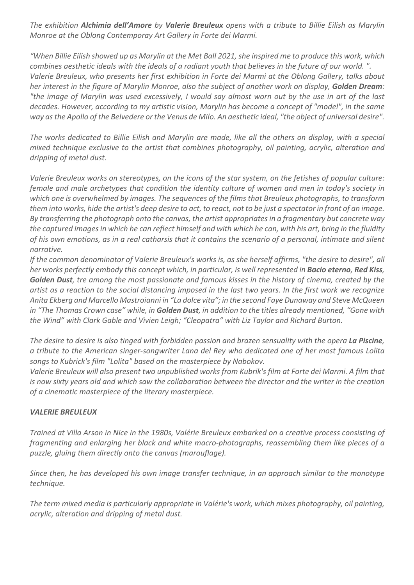*The exhibition Alchimia dell'Amore by Valerie Breuleux opens with a tribute to Billie Eilish as Marylin Monroe at the Oblong Contemporay Art Gallery in Forte dei Marmi.*

*"When Billie Eilish showed up as Marylin at the Met Ball 2021, she inspired me to produce this work, which combines aesthetic ideals with the ideals of a radiant youth that believes in the future of our world. ". Valerie Breuleux, who presents her first exhibition in Forte dei Marmi at the Oblong Gallery, talks about her interest in the figure of Marylin Monroe, also the subject of another work on display, Golden Dream: "the image of Marylin was used excessively, I would say almost worn out by the use in art of the last decades. However, according to my artistic vision, Marylin has become a concept of "model", in the same way as the Apollo of the Belvedere or the Venus de Milo. An aesthetic ideal, "the object of universal desire".*

*The works dedicated to Billie Eilish and Marylin are made, like all the others on display, with a special mixed technique exclusive to the artist that combines photography, oil painting, acrylic, alteration and dripping of metal dust.*

*Valerie Breuleux works on stereotypes, on the icons of the star system, on the fetishes of popular culture: female and male archetypes that condition the identity culture of women and men in today's society in which one is overwhelmed by images. The sequences of the films that Breuleux photographs, to transform them into works, hide the artist's deep desire to act, to react, not to be just a spectator in front of an image. By transferring the photograph onto the canvas, the artist appropriates in a fragmentary but concrete way the captured images in which he can reflect himself and with which he can, with his art, bring in the fluidity of his own emotions, as in a real catharsis that it contains the scenario of a personal, intimate and silent narrative.*

*If the common denominator of Valerie Breuleux's works is, as she herself affirms, "the desire to desire", all her works perfectly embody this concept which, in particular, is well represented in Bacio eterno, Red Kiss, Golden Dust, tre among the most passionate and famous kisses in the history of cinema, created by the artist as a reaction to the social distancing imposed in the last two years. In the first work we recognize Anita Ekberg and Marcello Mastroianni in "La dolce vita"; in the second Faye Dunaway and Steve McQueen in "The Thomas Crown case" while, in Golden Dust, in addition to the titles already mentioned, "Gone with the Wind" with Clark Gable and Vivien Leigh; "Cleopatra" with Liz Taylor and Richard Burton.*

*The desire to desire is also tinged with forbidden passion and brazen sensuality with the opera La Piscine*, *a tribute to the American singer-songwriter Lana del Rey who dedicated one of her most famous Lolita songs to Kubrick's film "Lolita" based on the masterpiece by Nabokov.*

*Valerie Breuleux will also present two unpublished works from Kubrik's film at Forte dei Marmi. A film that is now sixty years old and which saw the collaboration between the director and the writer in the creation of a cinematic masterpiece of the literary masterpiece.*

## *VALERIE BREULEUX*

*Trained at Villa Arson in Nice in the 1980s, Valérie Breuleux embarked on a creative process consisting of fragmenting and enlarging her black and white macro-photographs, reassembling them like pieces of a puzzle, gluing them directly onto the canvas (marouflage).*

*Since then, he has developed his own image transfer technique, in an approach similar to the monotype technique.*

*The term mixed media is particularly appropriate in Valérie's work, which mixes photography, oil painting, acrylic, alteration and dripping of metal dust.*